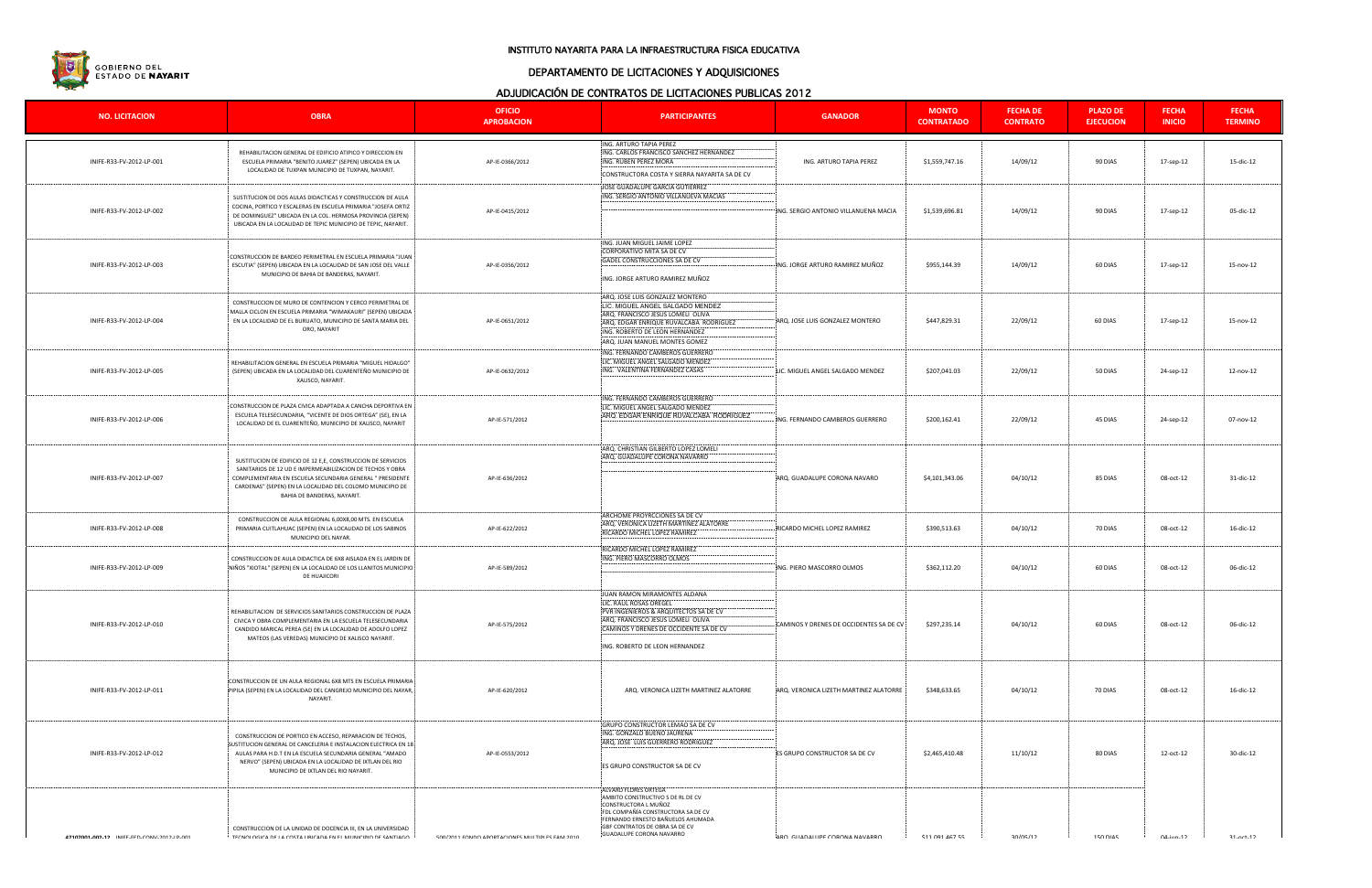

#### INSTITUTO NAYARITA PARA LA INFRAESTRUCTURA FISICA EDUCATIVA

# DEPARTAMENTO DE LICITACIONES Y ADQUISICIONES

## ADJUDICACIÓN DE CONTRATOS DE LICITACIONES PUBLICAS 2012

| <b>NO. LICITACION</b>                      | <b>OBRA</b>                                                                                                                                                                                                                                                                                 | <b>OFICIO</b><br><b>APROBACION</b>                    | A DOODIO ROIDIN DE OORTIVATOO DE EIGHTAOIOREO I ODEIO AO EU IE<br><b>PARTICIPANTES</b>                                                                                                                                     | <b>GANADOR</b>                          | <b>MONTO</b><br><b>CONTRATADO</b> | <b>FECHA DE</b><br><b>CONTRATO</b> | <b>PLAZO DE</b><br><b>EJECUCION</b> | <b>FECHA</b><br><b>INICIO</b> | <b>FECHA</b><br><b>TERMINO</b> |
|--------------------------------------------|---------------------------------------------------------------------------------------------------------------------------------------------------------------------------------------------------------------------------------------------------------------------------------------------|-------------------------------------------------------|----------------------------------------------------------------------------------------------------------------------------------------------------------------------------------------------------------------------------|-----------------------------------------|-----------------------------------|------------------------------------|-------------------------------------|-------------------------------|--------------------------------|
| INIFE-R33-FV-2012-LP-001                   | REHABILITACION GENERAL DE EDIFICIO ATIPICO Y DIRECCION EN<br>ESCUELA PRIMARIA "BENITO JUAREZ" (SEPEN) UBICADA EN LA<br>LOCALIDAD DE TUXPAN MUNICIPIO DE TUXPAN, NAYARIT.                                                                                                                    | AP-IE-0366/2012                                       | ING. ARTURO TAPIA PEREZ<br>ING. CARLOS FRANCISCO SANCHEZ HERNANDEZ<br>ING. RUBEN PEREZ MORA<br>CONSTRUCTORA COSTA Y SIERRA NAYARITA SA DE CV                                                                               | ING. ARTURO TAPIA PEREZ                 | \$1,559,747.16                    | 14/09/12                           | 90 DIAS                             | 17-sep-12                     | 15-dic-12                      |
| INIFE-R33-FV-2012-LP-002                   | SUSTITUCION DE DOS AULAS DIDACTICAS Y CONSTRUCCION DE AULA<br>COCINA, PORTICO Y ESCALERAS EN ESCUELA PRIMARIA "JOSEFA ORTIZ<br>DE DOMINGUEZ" UBICADA EN LA COL. HERMOSA PROVINCIA (SEPEN)<br>UBICADA EN LA LOCALIDAD DE TEPIC MUNICIPIO DE TEPIC, NAYARIT.                                  | AP-IE-0415/2012                                       | JOSE GUADALUPE GARCIA GUTIERREZ<br>ING. SERGIO ANTONIO VILLANUEVA MACIAS                                                                                                                                                   | ING. SERGIO ANTONIO VILLANUENA MACIA    | \$1,539,696.81                    | 14/09/12                           | 90 DIAS                             | 17-sep-12                     | 05-dic-12                      |
| INIFE-R33-FV-2012-LP-003                   | CONSTRUCCION DE BARDEO PERIMETRAL EN ESCUELA PRIMARIA "JUAN<br>ESCUTIA" (SEPEN) UBICADA EN LA LOCALIDAD DE SAN JOSE DEL VALLE<br>MUNICIPIO DE BAHIA DE BANDERAS, NAYARIT.                                                                                                                   | AP-IE-0356/2012                                       | ING. JUAN MIGUEL JAIME LOPEZ<br>CORPORATIVO MITA SA DE CV<br>GADEL CONSTRUCCIONES SA DE CV<br>ING. JORGE ARTURO RAMIREZ MUÑOZ                                                                                              | ING. JORGE ARTURO RAMIREZ MUÑOZ         | \$955,144.39                      | 14/09/12                           | 60 DIAS                             | 17-sep-12                     | 15-nov-12                      |
| INIFE-R33-FV-2012-LP-004                   | CONSTRUCCION DE MURO DE CONTENCION Y CERCO PERIMETRAL DE<br>MALLA CICLON EN ESCUELA PRIMARIA "WIMAKAURI" (SEPEN) UBICADA<br>EN LA LOCALIDAD DE EL BURUATO, MUNICIPIO DE SANTA MARIA DEL<br>ORO, NAYARIT                                                                                     | AP-IE-0651/2012                                       | ARQ. JOSE LUIS GONZALEZ MONTERO<br>LIC. MIGUEL ANGEL SALGADO MENDEZ<br>ARQ. FRANCISCO JESUS LOMELI OLIVA<br>ARQ. EDGAR ENRIQUE RUVALCABA RODRIGUEZ<br>ING. ROBERTO DE LEON HERNANDEZ<br>ARQ. JUAN MANUEL MONTES GOMEZ      | ARQ. JOSE LUIS GONZALEZ MONTERO         | \$447,829.31                      | 22/09/12                           | 60 DIAS                             | 17-sep-12                     | 15-nov-12                      |
| INIFE-R33-FV-2012-LP-005                   | REHABILITACION GENERAL EN ESCUELA PRIMARIA "MIGUEL HIDALGO"<br>(SEPEN) UBICADA EN LA LOCALIDAD DEL CUARENTEÑO MUNICIPIO DE<br>XALISCO, NAYARIT.                                                                                                                                             | AP-IE-0632/2012                                       | ING. FERNANDO CAMBEROS GUERRERO<br>LIC. MIGUEL ANGEL SALGADO MENDEZ<br>ING. VALENTINA FERNANDEZ CASAS                                                                                                                      | LIC. MIGUEL ANGEL SALGADO MENDEZ        | \$207,041.03                      | 22/09/12                           | 50 DIAS                             | 24-sep-12                     | 12-nov-12                      |
| INIFE-R33-FV-2012-LP-006                   | CONSTRUCCION DE PLAZA CIVICA ADAPTADA A CANCHA DEPORTIVA EN<br>ESCUELA TELESECUNDARIA, "VICENTE DE DIOS ORTEGA" (SE), EN LA<br>LOCALIDAD DE EL CUARENTEÑO, MUNICIPIO DE XALISCO, NAYARIT                                                                                                    | AP-IE-571/2012                                        | ING. FERNANDO CAMBEROS GUERRERO<br>LIC. MIGUEL ANGEL SALGADO MENDEZ<br>ARQ. EDGAR ENRIQUE RUVALCABA RODRIGUEZ                                                                                                              | ING. FERNANDO CAMBEROS GUERRERO         | \$200,162.41                      | 22/09/12                           | 45 DIAS                             | 24-sep-12                     | 07-nov-12                      |
| INIFE-R33-FV-2012-LP-007                   | SUSTITUCION DE EDIFICIO DE 12 E,E, CONSTRUCCION DE SERVICIOS<br>SANITARIOS DE 12 UD E IMPERMEABILIZACION DE TECHOS Y OBRA<br>COMPLEMENTARIA EN ESCUELA SECUNDARIA GENERAL " PRESIDENTE<br>CARDENAS" (SEPEN) EN LA LOCALIDAD DEL COLOMO MUNICIPIO DE<br>BAHIA DE BANDERAS, NAYARIT.          | AP-IE-636/2012                                        | ARQ. CHRISTIAN GILBERTO LOPEZ LOMELI<br>ARQ. GUADALUPE CORONA NAVARRO                                                                                                                                                      | ARQ. GUADALUPE CORONA NAVARO            | \$4,101,343.06                    | 04/10/12                           | 85 DIAS                             | 08-oct-12                     | 31-dic-12                      |
| INIFE-R33-FV-2012-LP-008                   | CONSTRUCCION DE AULA REGIONAL 6,00X8,00 MTS. EN ESCUELA<br>PRIMARIA CUITLAHUAC (SEPEN) EN LA LOCALIDAD DE LOS SABINOS<br>MUNICIPIO DEL NAYAR.                                                                                                                                               | AP-IE-622/2012                                        | ARCHOME PROYRCCIONES SA DE CV<br>ARQ. VERONICA LIZETH MARTINEZ ALATORRE<br>RICARDO MICHEL LOPEZ RAMIREZ                                                                                                                    | RICARDO MICHEL LOPEZ RAMIREZ            | \$390,513.63                      | 04/10/12                           | 70 DIAS                             | 08-oct-12                     | 16-dic-12                      |
| INIFE-R33-FV-2012-LP-009                   | CONSTRUCCION DE AULA DIDACTICA DE 6X8 AISLADA EN EL JARDIN DE<br>NIÑOS "XIOTAL" (SEPEN) EN LA LOCALIDAD DE LOS LLANITOS MUNICIPIO<br>DE HUAJICORI                                                                                                                                           | AP-IE-589/2012                                        | RICARDO MICHEL LOPEZ RAMIREZ<br>ING. PIERO MASCORRO OLMOS                                                                                                                                                                  | ING. PIERO MASCORRO OLMOS               | \$362,112.20                      | 04/10/12                           | 60 DIAS                             | 08-oct-12                     | 06-dic-12                      |
| INIFE-R33-FV-2012-LP-010                   | REHABILITACION DE SERVICIOS SANITARIOS CONSTRUCCION DE PLAZA<br>CIVICA Y OBRA COMPLEMENTARIA EN LA ESCUELA TELESECUNDARIA<br>CANDIDO MARICAL PEREA (SE) EN LA LOCALIDAD DE ADOLFO LOPEZ<br>MATEOS (LAS VEREDAS) MUNICIPIO DE XALISCO NAYARIT.                                               | AP-IE-575/2012                                        | JUAN RAMON MIRAMONTES ALDANA<br>LIC. RAUL ROSAS OREGEL<br>PVR INGENIEROS & ARQUITECTOS SA DE CV<br>ARQ. FRANCISCO JESUS LOMELI OLIVA<br>CAMINOS Y DRENES DE OCCIDENTE SA DE CV<br>ING. ROBERTO DE LEON HERNANDEZ           | CAMINOS Y DRENES DE OCCIDENTES SA DE CV | \$297,235.14                      | 04/10/12                           | 60 DIAS                             | 08-oct-12                     | 06-dic-12                      |
| INIFE-R33-FV-2012-LP-011                   | CONSTRUCCION DE UN AULA REGIONAL 6X8 MTS EN ESCUELA PRIMARIA<br>PIPILA (SEPEN) EN LA LOCALIDAD DEL CANGREJO MUNICIPIO DEL NAYAR,<br>NAYARIT.                                                                                                                                                | AP-IE-620/2012                                        | ARQ. VERONICA LIZETH MARTINEZ ALATORRE                                                                                                                                                                                     | ARQ. VERONICA LIZETH MARTINEZ ALATORRE  | \$348,633.65                      | 04/10/12                           | 70 DIAS                             | 08-oct-12                     | 16-dic-12                      |
| INIFE-R33-FV-2012-LP-012                   | CONSTRUCCION DE PORTICO EN ACCESO, REPARACION DE TECHOS,<br>SUSTITUCION GENERAL DE CANCELERIA E INSTALACION ELECTRICA EN 18<br>AULAS PARA H.D.T EN LA ESCUELA SECUNDARIA GENERAL "AMADO<br>NERVO" (SEPEN) UBICADA EN LA LOCALIDAD DE IXTLAN DEL RIO<br>MUNICIPIO DE IXTLAN DEL RIO NAYARIT. | AP-IE-0553/2012                                       | GRUPO CONSTRUCTOR LEMAO SA DE CV<br>ING. GONZALO BUENO JAURENA<br>ARQ. JOSE LUIS GUERRERO RODRIGUEZ<br>ES GRUPO CONSTRUCTOR SA DE CV                                                                                       | ES GRUPO CONSTRUCTOR SA DE CV           | \$2,465,410.48                    | 11/10/12                           | 80 DIAS                             | 12-oct-12                     | 30-dic-12                      |
| 47107001.002.12 INIFF.FFD.CONV.2012.ID.001 | CONSTRUCCION DE LA UNIDAD DE DOCENCIA III, EN LA UNIVERSIDAD<br>TECNOLOGICA DE LA COSTA HRICADA EN EL MHNICIDIO DE SANTIAGO                                                                                                                                                                 | <b>500/2011 FONDO APORTACIONES MULTIPLES FAM 2010</b> | ALVARO FLORES ORTEGA<br>AMBITO CONSTRUCTIVO S DE RL DE CV<br>CONSTRUCTORA L MUÑOZ<br>FDL COMPAÑÍA CONSTRUCTORA SA DE CV<br>FERNANDO ERNESTO BAÑUELOS AHUMADA<br>GBF CONTRATOS DE OBRA SA DE CV<br>GUADALUPE CORONA NAVARRO | ARO GUADALUPE CORONA NAVARRO            | <b>411 091 467 55</b>             | 30/05/12                           | <b>150 DIAS</b>                     | $\Lambda$ -iun-12             | $21 - nrt - 12$                |